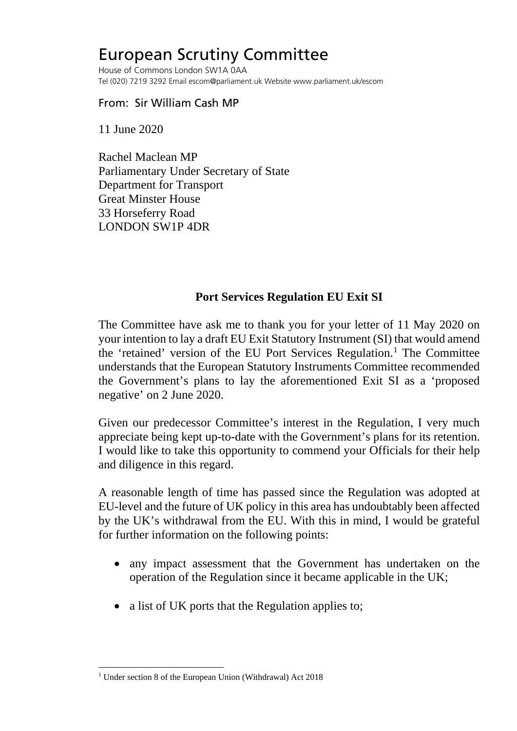## European Scrutiny Committee

House of Commons London SW1A 0AA Tel (020) 7219 3292 Email escom@parliament.uk Website www.parliament.uk/escom

## From: Sir William Cash MP

11 June 2020

Rachel Maclean MP Parliamentary Under Secretary of State Department for Transport Great Minster House 33 Horseferry Road LONDON SW1P 4DR

## **Port Services Regulation EU Exit SI**

The Committee have ask me to thank you for your letter of 11 May 2020 on your intention to lay a draft EU Exit Statutory Instrument (SI) that would amend the 'retained' version of the EU Port Services Regulation.<sup>[1](#page-0-0)</sup> The Committee understands that the European Statutory Instruments Committee recommended the Government's plans to lay the aforementioned Exit SI as a 'proposed negative' on 2 June 2020.

Given our predecessor Committee's interest in the Regulation, I very much appreciate being kept up-to-date with the Government's plans for its retention. I would like to take this opportunity to commend your Officials for their help and diligence in this regard.

A reasonable length of time has passed since the Regulation was adopted at EU-level and the future of UK policy in this area has undoubtably been affected by the UK's withdrawal from the EU. With this in mind, I would be grateful for further information on the following points:

- any impact assessment that the Government has undertaken on the operation of the Regulation since it became applicable in the UK;
- a list of UK ports that the Regulation applies to;

<span id="page-0-0"></span><sup>&</sup>lt;sup>1</sup> Under section 8 of the European Union (Withdrawal) Act 2018